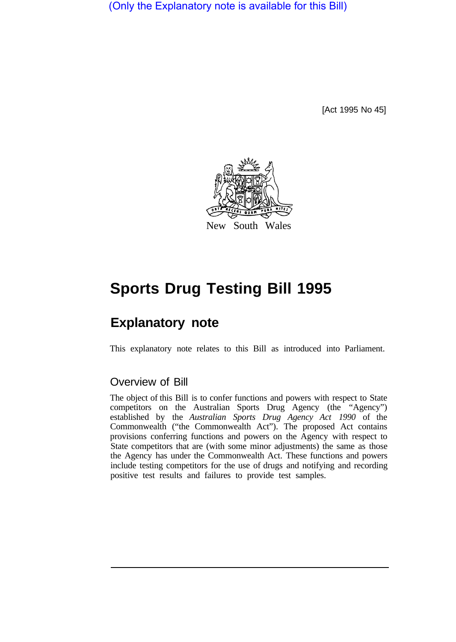(Only the Explanatory note is available for this Bill)

[Act 1995 No 45]



# **Sports Drug Testing Bill 1995**

## **Explanatory note**

This explanatory note relates to this Bill as introduced into Parliament.

### Overview of Bill

The object of this Bill is to confer functions and powers with respect to State competitors on the Australian Sports Drug Agency (the "Agency") established by the *Australian Sports Drug Agency Act 1990* of the Commonwealth ("the Commonwealth Act"). The proposed Act contains provisions conferring functions and powers on the Agency with respect to State competitors that are (with some minor adjustments) the same as those the Agency has under the Commonwealth Act. These functions and powers include testing competitors for the use of drugs and notifying and recording positive test results and failures to provide test samples.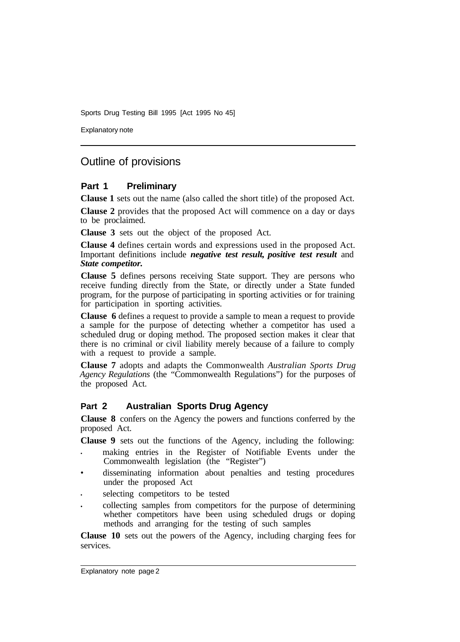Sports Drug Testing Bill 1995 [Act 1995 No 45]

Explanatory note

## Outline of provisions

#### **Part 1 Preliminary**

**Clause 1** sets out the name (also called the short title) of the proposed Act.

**Clause 2** provides that the proposed Act will commence on a day or days to be proclaimed.

**Clause 3** sets out the object of the proposed Act.

**Clause 4** defines certain words and expressions used in the proposed Act. Important definitions include *negative test result, positive test result* and *State competitor.* 

**Clause 5** defines persons receiving State support. They are persons who receive funding directly from the State, or directly under a State funded program, for the purpose of participating in sporting activities or for training for participation in sporting activities.

**Clause 6** defines a request to provide a sample to mean a request to provide a sample for the purpose of detecting whether a competitor has used a scheduled drug or doping method. The proposed section makes it clear that there is no criminal or civil liability merely because of a failure to comply with a request to provide a sample.

**Clause 7** adopts and adapts the Commonwealth *Australian Sports Drug Agency Regulations* (the "Commonwealth Regulations") for the purposes of the proposed Act.

#### **Part 2 Australian Sports Drug Agency**

**Clause 8** confers on the Agency the powers and functions conferred by the proposed Act.

**Clause 9** sets out the functions of the Agency, including the following:

- making entries in the Register of Notifiable Events under the Commonwealth legislation (the "Register")
- disseminating information about penalties and testing procedures under the proposed Act
- selecting competitors to be tested
- collecting samples from competitors for the purpose of determining whether competitors have been using scheduled drugs or doping methods and arranging for the testing of such samples

**Clause 10** sets out the powers of the Agency, including charging fees for services.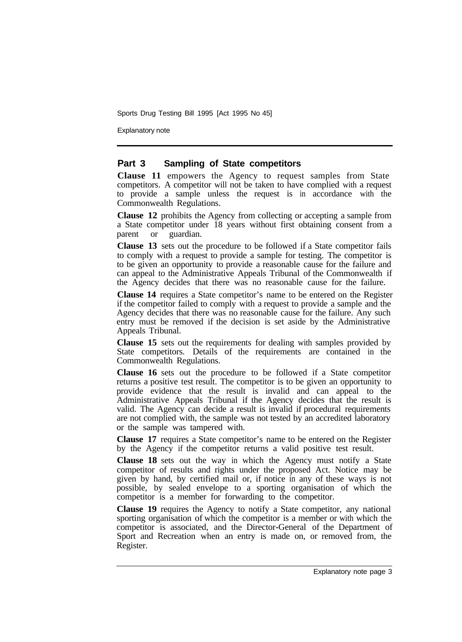Sports Drug Testing Bill 1995 [Act 1995 No 45]

Explanatory note

#### **Part 3 Sampling of State competitors**

**Clause 11** empowers the Agency to request samples from State competitors. A competitor will not be taken to have complied with a request to provide a sample unless the request is in accordance with the Commonwealth Regulations.

**Clause 12** prohibits the Agency from collecting or accepting a sample from a State competitor under 18 years without first obtaining consent from a parent or guardian.

**Clause 13** sets out the procedure to be followed if a State competitor fails to comply with a request to provide a sample for testing. The competitor is to be given an opportunity to provide a reasonable cause for the failure and can appeal to the Administrative Appeals Tribunal of the Commonwealth if the Agency decides that there was no reasonable cause for the failure.

**Clause 14** requires a State competitor's name to be entered on the Register if the competitor failed to comply with a request to provide a sample and the Agency decides that there was no reasonable cause for the failure. Any such entry must be removed if the decision is set aside by the Administrative Appeals Tribunal.

**Clause 15** sets out the requirements for dealing with samples provided by State competitors. Details of the requirements are contained in the Commonwealth Regulations.

**Clause 16** sets out the procedure to be followed if a State competitor returns a positive test result. The competitor is to be given an opportunity to provide evidence that the result is invalid and can appeal to the Administrative Appeals Tribunal if the Agency decides that the result is valid. The Agency can decide a result is invalid if procedural requirements are not complied with, the sample was not tested by an accredited laboratory or the sample was tampered with.

**Clause 17** requires a State competitor's name to be entered on the Register by the Agency if the competitor returns a valid positive test result.

**Clause 18** sets out the way in which the Agency must notify a State competitor of results and rights under the proposed Act. Notice may be given by hand, by certified mail or, if notice in any of these ways is not possible, by sealed envelope to a sporting organisation of which the competitor is a member for forwarding to the competitor.

**Clause 19** requires the Agency to notify a State competitor, any national sporting organisation of which the competitor is a member or with which the competitor is associated, and the Director-General of the Department of Sport and Recreation when an entry is made on, or removed from, the Register.